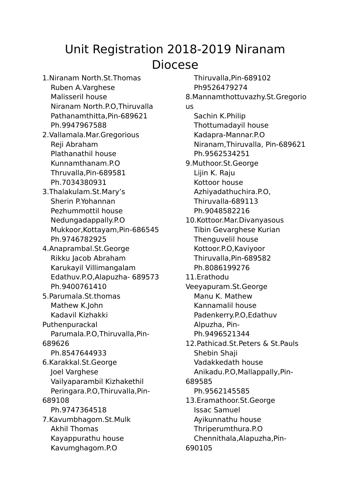## Unit Registration 2018-2019 Niranam Diocese

1.Niranam North.St.Thomas Ruben A.Varghese Malisseril house Niranam North.P.O,Thiruvalla Pathanamthitta,Pin-689621 Ph.9947967588 2.Vallamala.Mar.Gregorious Reji Abraham Plathanathil house Kunnamthanam.P.O Thruvalla,Pin-689581 Ph.7034380931 3.Thalakulam.St.Mary's Sherin P.Yohannan Pezhummottil house Nedungadappally.P.O Mukkoor,Kottayam,Pin-686545 Ph.9746782925 4.Anaprambal.St.George Rikku Jacob Abraham Karukayil Villimangalam Edathuv.P.O,Alapuzha- 689573 Ph.9400761410 5.Parumala.St.thomas Mathew K.John Kadavil Kizhakki Puthenpurackal Parumala.P.O,Thiruvalla,Pin-689626 Ph.8547644933 6.Karakkal.St.George Joel Varghese Vailyaparambil Kizhakethil Peringara.P.O,Thiruvalla,Pin-689108 Ph.9747364518 7.Kavumbhagom.St.Mulk Akhil Thomas Kayappurathu house Kavumghagom.P.O

Thiruvalla,Pin-689102 Ph9526479274 8.Mannamthottuvazhy.St.Gregorio us Sachin K.Philip Thottumadayil house Kadapra-Mannar.P.O Niranam,Thiruvalla, Pin-689621 Ph.9562534251 9.Muthoor.St.George Lijin K. Raju Kottoor house Azhiyadathuchira.P.O, Thiruvalla-689113 Ph.9048582216 10.Kottoor.Mar.Divanyasous Tibin Gevarghese Kurian Thenguvelil house Kottoor.P.O,Kaviyoor Thiruvalla,Pin-689582 Ph.8086199276 11.Erathodu Veeyapuram.St.George Manu K. Mathew Kannamalil house Padenkerry.P.O,Edathuv Alpuzha, Pin-Ph.9496521344 12.Pathicad.St.Peters & St.Pauls Shebin Shaji Vadakkedath house Anikadu.P.O,Mallappally,Pin-689585 Ph.9562145585 13.Eramathoor.St.George Issac Samuel Ayikunnathu house Thriperumthura.P.O Chennithala,Alapuzha,Pin-690105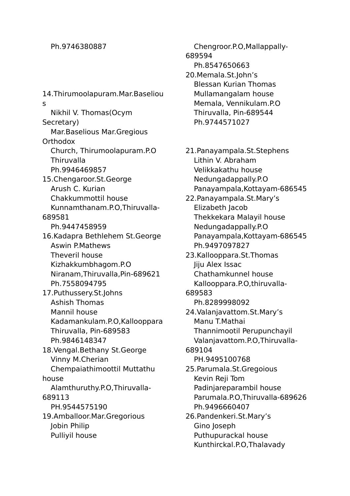## Ph.9746380887

14.Thirumoolapuram.Mar.Baseliou s Nikhil V. Thomas(Ocym Secretary) Mar.Baselious Mar.Gregious **Orthodox** Church, Thirumoolapuram.P.O **Thiruvalla** Ph.9946469857 15.Chengaroor.St.George Arush C. Kurian Chakkummottil house Kunnamthanam.P.O,Thiruvalla-689581 Ph.9447458959 16.Kadapra Bethlehem St.George Aswin P.Mathews Theveril house Kizhakkumbhagom.P.O Niranam,Thiruvalla,Pin-689621 Ph.7558094795 17.Puthussery.St.Johns Ashish Thomas Mannil house Kadamankulam.P.O,Kallooppara Thiruvalla, Pin-689583 Ph.9846148347 18.Vengal.Bethany St.George Vinny M.Cherian Chempaiathimoottil Muttathu house Alamthuruthy.P.O,Thiruvalla-689113 PH.9544575190 19.Amballoor.Mar.Gregorious Jobin Philip Pulliyil house

Chengroor.P.O,Mallappally-689594 Ph.8547650663 20.Memala.St.John's Blessan Kurian Thomas Mullamangalam house Memala, Vennikulam.P.O Thiruvalla, Pin-689544 Ph.9744571027

21.Panayampala.St.Stephens Lithin V. Abraham Velikkakathu house Nedungadappally.P.O Panayampala,Kottayam-686545 22.Panayampala.St.Mary's Elizabeth Jacob Thekkekara Malayil house Nedungadappally.P.O Panayampala,Kottayam-686545 Ph.9497097827 23.Kallooppara.St.Thomas Jiju Alex Issac Chathamkunnel house Kallooppara.P.O,thiruvalla-689583 Ph.8289998092 24.Valanjavattom.St.Mary's Manu T.Mathai Thannimootil Perupunchayil Valanjavattom.P.O,Thiruvalla-689104 PH.9495100768 25.Parumala.St.Gregoious Kevin Reji Tom Padinjareparambil house Parumala.P.O,Thiruvalla-689626 Ph.9496660407 26.Pandenkeri.St.Mary's Gino Joseph Puthupurackal house Kunthirckal.P.O,Thalavady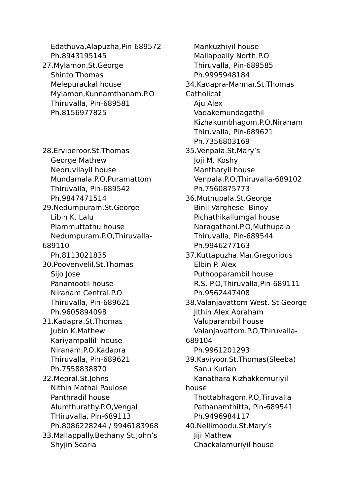Edathuva,Alapuzha,Pin-689572 Ph.8943195145 27.Mylamon.St.George Shinto Thomas Melepurackal house Mylamon,Kunnamthanam.P.O Thiruvalla, Pin-689581 Ph.8156977825 28.Erviperoor.St.Thomas George Mathew Neoruvilayil house Mundamala.P.O,Puramattom Thiruvalla, Pin-689542 Ph.9847471514 29.Nedumpuram.St.George Libin K. Lalu Plammuttathu house Nedumpuram.P.O,Thiruvalla-689110 Ph.8113021835 30.Poovenvelil.St.Thomas Sijo Jose Panamootil house Niranam Central.P.O Thiruvalla, Pin-689621 Ph.9605894098 31.Kadapra.St.Thomas Jubin K.Mathew Kariyampallil house Niranam,P.O,Kadapra Thiruvalla, Pin-689621 Ph.7558838870 32.Mepral.St.Johns Nithin Mathai Paulose Panthradil house Alumthurathy.P.O,Vengal THiruvalla, Pin-689113 Ph.8086228244 / 9946183968 33.Mallappally.Bethany St.John's Shyjin Scaria

Mankuzhiyil house Mallappally North.P.O Thiruvalla, Pin-689585 Ph.9995948184 34.Kadapra-Mannar.St.Thomas **Catholicat** Aju Alex Vadakemundagathil Kizhakumbhagom.P.O,Niranam Thiruvalla, Pin-689621 Ph.7356803169 35.Venpala.St.Mary's Joji M. Koshy Mantharyil house Venpala.P.O,Thiruvalla-689102 Ph.7560875773 36.Muthupala.St.George Binil Varghese Binoy Pichathikallumgal house Naragathani.P.O,Muthupala Thiruvalla, Pin-689544 Ph.9946277163 37.Kuttapuzha.Mar.Gregorious Elbin P. Alex Puthooparambil house R.S. P.O,Thiruvalla,Pin-689111 Ph.9562447408 38.Valanjavattom West. St.George Jithin Alex Abraham Valuparambil house Valanjavattom.P.O,Thiruvalla-689104 Ph.9961201293 39.Kaviyoor.St.Thomas(Sleeba) Sanu Kurian Kanathara Kizhakkemuriyil house Thottabhagom.P.O,Tiruvalla Pathanamthitta, Pin-689541 Ph.9496984117 40.Nellimoodu.St.Mary's Jiji Mathew Chackalamuriyil house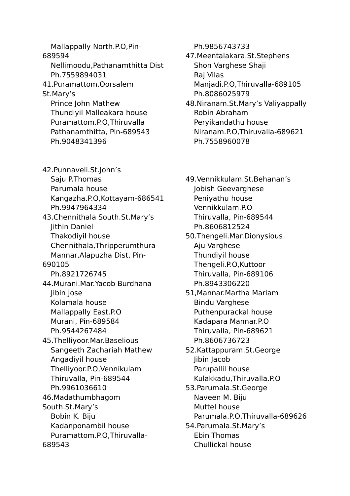Mallappally North.P.O,Pin-689594 Nellimoodu,Pathanamthitta Dist Ph.7559894031 41.Puramattom.Oorsalem St.Mary's Prince John Mathew Thundiyil Malleakara house Puramattom.P.O,Thiruvalla Pathanamthitta, Pin-689543 Ph.9048341396 42.Punnaveli.St.John's Saju P.Thomas Parumala house Kangazha.P.O,Kottayam-686541 Ph.9947964334 43.Chennithala South.St.Mary's Jithin Daniel Thakodiyil house Chennithala,Thripperumthura Mannar,Alapuzha Dist, Pin-690105 Ph.8921726745 44.Murani.Mar.Yacob Burdhana Jibin Jose Kolamala house Mallappally East.P.O Murani, Pin-689584 Ph.9544267484 45.Thelliyoor.Mar.Baselious Sangeeth Zachariah Mathew Angadiyil house Thelliyoor.P.O,Vennikulam Thiruvalla, Pin-689544 Ph.9961036610 46.Madathumbhagom South.St.Mary's Bobin K. Biju Kadanponambil house Puramattom.P.O,Thiruvalla-689543

Ph.9856743733

47.Meentalakara.St.Stephens Shon Varghese Shaji Raj Vilas Manjadi.P.O,Thiruvalla-689105 Ph.8086025979

48.Niranam.St.Mary's Valiyappally Robin Abraham Peryikandathu house Niranam.P.O,Thiruvalla-689621 Ph.7558960078

49.Vennikkulam.St.Behanan's Jobish Geevarghese Peniyathu house Vennikkulam.P.O Thiruvalla, Pin-689544 Ph.8606812524 50.Thengeli.Mar.Dionysious Aju Varghese Thundiyil house Thengeli.P.O,Kuttoor Thiruvalla, Pin-689106 Ph.8943306220 51,Mannar.Martha Mariam Bindu Varghese Puthenpurackal house Kadapara Mannar.P.O Thiruvalla, Pin-689621 Ph.8606736723 52.Kattappuram.St.George Jibin Jacob Parupallil house Kulakkadu,Thiruvalla.P.O 53.Parumala.St.George Naveen M. Biju Muttel house Parumala.P.O,Thiruvalla-689626 54.Parumala.St.Mary's Ebin Thomas Chullickal house